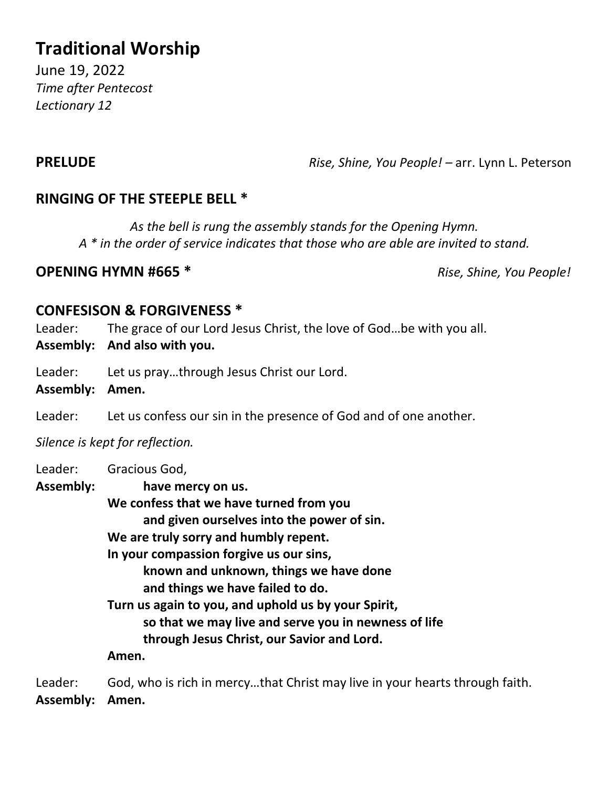# **Traditional Worship**

June 19, 2022 *Time after Pentecost Lectionary 12*

**PRELUDE** *Rise, Shine, You People! –* arr. Lynn L. Peterson

### **RINGING OF THE STEEPLE BELL \***

*As the bell is rung the assembly stands for the Opening Hymn. A \* in the order of service indicates that those who are able are invited to stand.*

### **OPENING HYMN #665 \*** *Rise, Shine, You People!*

### **CONFESISON & FORGIVENESS \***

Leader: The grace of our Lord Jesus Christ, the love of God...be with you all.

**Assembly: And also with you.**

Leader: Let us pray...through Jesus Christ our Lord.

**Assembly: Amen.**

Leader: Let us confess our sin in the presence of God and of one another.

*Silence is kept for reflection.*

| Leader:          | Gracious God,                                        |
|------------------|------------------------------------------------------|
| <b>Assembly:</b> | have mercy on us.                                    |
|                  | We confess that we have turned from you              |
|                  | and given ourselves into the power of sin.           |
|                  | We are truly sorry and humbly repent.                |
|                  | In your compassion forgive us our sins,              |
|                  | known and unknown, things we have done               |
|                  | and things we have failed to do.                     |
|                  | Turn us again to you, and uphold us by your Spirit,  |
|                  | so that we may live and serve you in newness of life |
|                  | through Jesus Christ, our Savior and Lord.           |
|                  | Amen.                                                |
|                  |                                                      |

Leader: God, who is rich in mercy…that Christ may live in your hearts through faith. **Assembly: Amen.**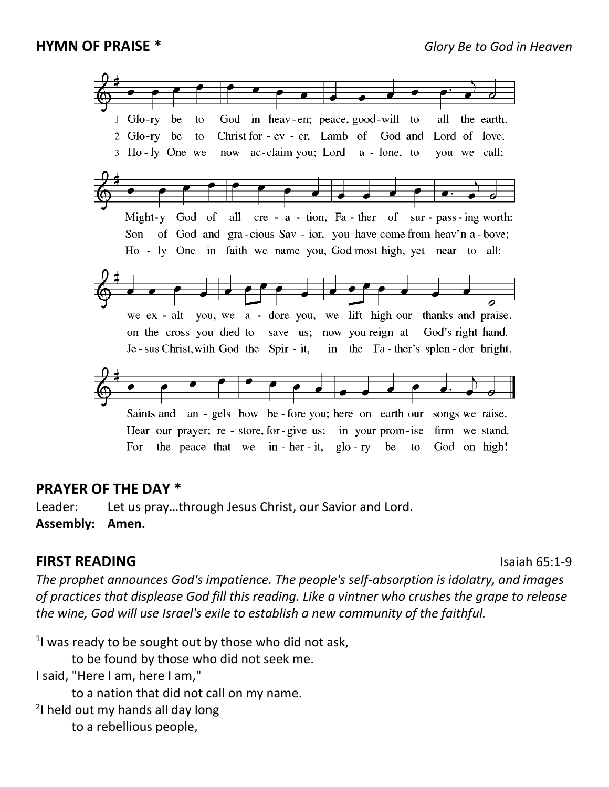

### **PRAYER OF THE DAY \***

Leader: Let us pray…through Jesus Christ, our Savior and Lord. **Assembly: Amen.**

### **FIRST READING** Isaiah 65:1-9

*The prophet announces God's impatience. The people's self-absorption is idolatry, and images of practices that displease God fill this reading. Like a vintner who crushes the grape to release the wine, God will use Israel's exile to establish a new community of the faithful.*

 $1$ I was ready to be sought out by those who did not ask,

to be found by those who did not seek me.

I said, "Here I am, here I am,"

to a nation that did not call on my name.

<sup>2</sup>I held out my hands all day long

to a rebellious people,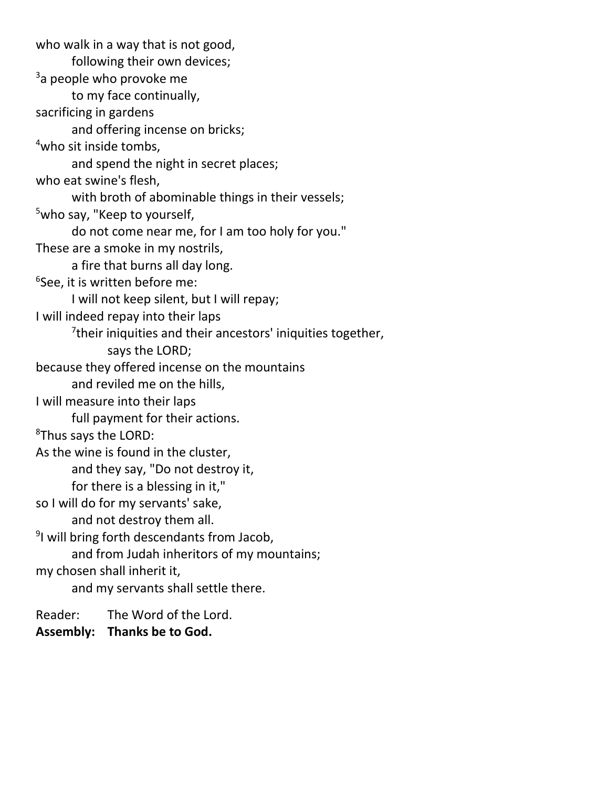who walk in a way that is not good, following their own devices; <sup>3</sup>a people who provoke me to my face continually, sacrificing in gardens and offering incense on bricks; <sup>4</sup>who sit inside tombs, and spend the night in secret places; who eat swine's flesh, with broth of abominable things in their vessels; <sup>5</sup>who say, "Keep to yourself, do not come near me, for I am too holy for you." These are a smoke in my nostrils, a fire that burns all day long. 6 See, it is written before me: I will not keep silent, but I will repay; I will indeed repay into their laps <sup>7</sup>their iniquities and their ancestors' iniquities together, says the LORD; because they offered incense on the mountains and reviled me on the hills, I will measure into their laps full payment for their actions. <sup>8</sup>Thus says the LORD: As the wine is found in the cluster, and they say, "Do not destroy it, for there is a blessing in it," so I will do for my servants' sake, and not destroy them all. <sup>9</sup>I will bring forth descendants from Jacob, and from Judah inheritors of my mountains; my chosen shall inherit it, and my servants shall settle there. Reader: The Word of the Lord.

**Assembly: Thanks be to God.**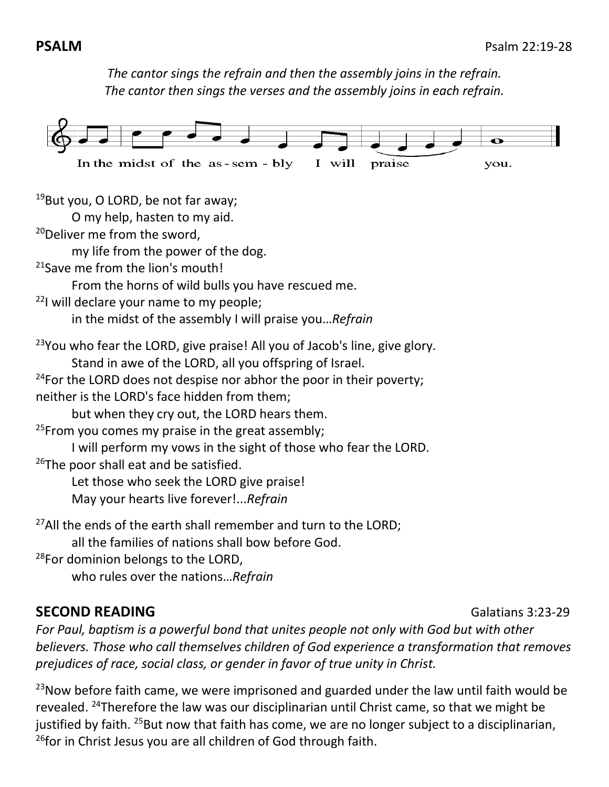*The cantor sings the refrain and then the assembly joins in the refrain. The cantor then sings the verses and the assembly joins in each refrain.*



<sup>19</sup>But you, O LORD, be not far away;

O my help, hasten to my aid.

<sup>20</sup>Deliver me from the sword,

my life from the power of the dog.

<sup>21</sup> Save me from the lion's mouth!

From the horns of wild bulls you have rescued me.

 $22$ I will declare your name to my people;

in the midst of the assembly I will praise you…*Refrain*

<sup>23</sup>You who fear the LORD, give praise! All you of Jacob's line, give glory.

Stand in awe of the LORD, all you offspring of Israel.

 $24$ For the LORD does not despise nor abhor the poor in their poverty;

neither is the LORD's face hidden from them;

but when they cry out, the LORD hears them.

 $25$ From you comes my praise in the great assembly;

I will perform my vows in the sight of those who fear the LORD.

<sup>26</sup>The poor shall eat and be satisfied.

Let those who seek the LORD give praise!

May your hearts live forever!...*Refrain*

 $27$ All the ends of the earth shall remember and turn to the LORD;

all the families of nations shall bow before God.

<sup>28</sup>For dominion belongs to the LORD,

who rules over the nations…*Refrain*

# **SECOND READING Galatians 3:23-29**

*For Paul, baptism is a powerful bond that unites people not only with God but with other believers. Those who call themselves children of God experience a transformation that removes prejudices of race, social class, or gender in favor of true unity in Christ.*

 $^{23}$ Now before faith came, we were imprisoned and guarded under the law until faith would be revealed. <sup>24</sup>Therefore the law was our disciplinarian until Christ came, so that we might be justified by faith. <sup>25</sup>But now that faith has come, we are no longer subject to a disciplinarian, <sup>26</sup>for in Christ Jesus you are all children of God through faith.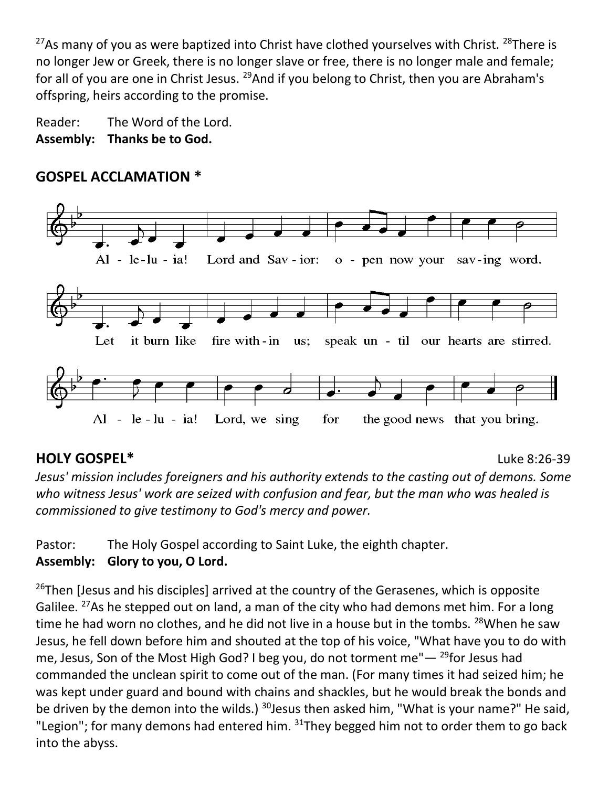$27$ As many of you as were baptized into Christ have clothed yourselves with Christ.  $28$ There is no longer Jew or Greek, there is no longer slave or free, there is no longer male and female; for all of you are one in Christ Jesus. <sup>29</sup>And if you belong to Christ, then you are Abraham's offspring, heirs according to the promise.

Reader: The Word of the Lord. **Assembly: Thanks be to God.**

# **GOSPEL ACCLAMATION \***



# **HOLY GOSPEL\*** Luke 8:26-39

*Jesus' mission includes foreigners and his authority extends to the casting out of demons. Some who witness Jesus' work are seized with confusion and fear, but the man who was healed is commissioned to give testimony to God's mercy and power.*

Pastor: The Holy Gospel according to Saint Luke, the eighth chapter. **Assembly: Glory to you, O Lord.**

 $26$ Then [Jesus and his disciples] arrived at the country of the Gerasenes, which is opposite Galilee. <sup>27</sup>As he stepped out on land, a man of the city who had demons met him. For a long time he had worn no clothes, and he did not live in a house but in the tombs.  $^{28}$ When he saw Jesus, he fell down before him and shouted at the top of his voice, "What have you to do with me, Jesus, Son of the Most High God? I beg you, do not torment me" $-$  <sup>29</sup>for Jesus had commanded the unclean spirit to come out of the man. (For many times it had seized him; he was kept under guard and bound with chains and shackles, but he would break the bonds and be driven by the demon into the wilds.)  $30$  Jesus then asked him, "What is your name?" He said, "Legion"; for many demons had entered him. <sup>31</sup>They begged him not to order them to go back into the abyss.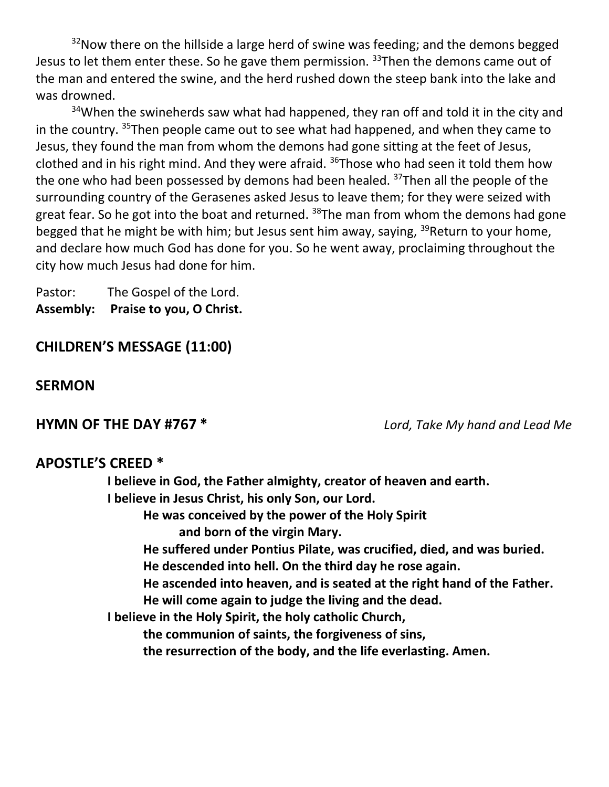$32$ Now there on the hillside a large herd of swine was feeding; and the demons begged Jesus to let them enter these. So he gave them permission. <sup>33</sup>Then the demons came out of the man and entered the swine, and the herd rushed down the steep bank into the lake and was drowned.

<sup>34</sup>When the swineherds saw what had happened, they ran off and told it in the city and in the country.  $35$ Then people came out to see what had happened, and when they came to Jesus, they found the man from whom the demons had gone sitting at the feet of Jesus, clothed and in his right mind. And they were afraid.  $36$ Those who had seen it told them how the one who had been possessed by demons had been healed. <sup>37</sup>Then all the people of the surrounding country of the Gerasenes asked Jesus to leave them; for they were seized with great fear. So he got into the boat and returned.  $38$ The man from whom the demons had gone begged that he might be with him; but Jesus sent him away, saying, <sup>39</sup>Return to your home, and declare how much God has done for you. So he went away, proclaiming throughout the city how much Jesus had done for him.

Pastor: The Gospel of the Lord. **Assembly: Praise to you, O Christ.**

### **CHILDREN'S MESSAGE (11:00)**

### **SERMON**

**HYMN OF THE DAY #767 \*** *Lord, Take My hand and Lead Me*

### **APOSTLE'S CREED \***

**I believe in God, the Father almighty, creator of heaven and earth. I believe in Jesus Christ, his only Son, our Lord. He was conceived by the power of the Holy Spirit and born of the virgin Mary. He suffered under Pontius Pilate, was crucified, died, and was buried. He descended into hell. On the third day he rose again. He ascended into heaven, and is seated at the right hand of the Father. He will come again to judge the living and the dead. I believe in the Holy Spirit, the holy catholic Church, the communion of saints, the forgiveness of sins, the resurrection of the body, and the life everlasting. Amen.**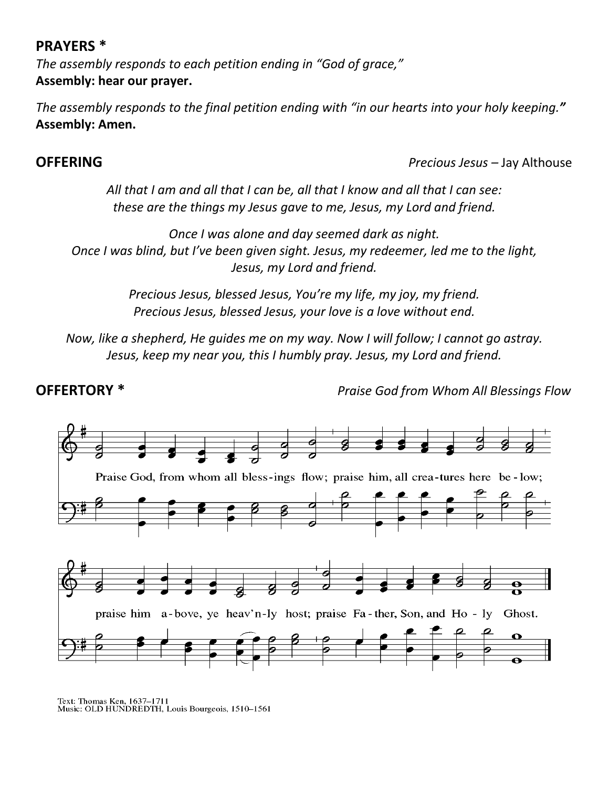### **PRAYERS \***

*The assembly responds to each petition ending in "God of grace,"* **Assembly: hear our prayer.**

*The assembly responds to the final petition ending with "in our hearts into your holy keeping."* **Assembly: Amen.**

**OFFERING** *Precious Jesus –* Jay Althouse

*All that I am and all that I can be, all that I know and all that I can see: these are the things my Jesus gave to me, Jesus, my Lord and friend.*

*Once I was alone and day seemed dark as night. Once I was blind, but I've been given sight. Jesus, my redeemer, led me to the light, Jesus, my Lord and friend.*

> *Precious Jesus, blessed Jesus, You're my life, my joy, my friend. Precious Jesus, blessed Jesus, your love is a love without end.*

*Now, like a shepherd, He guides me on my way. Now I will follow; I cannot go astray. Jesus, keep my near you, this I humbly pray. Jesus, my Lord and friend.*

**OFFERTORY \*** *Praise God from Whom All Blessings Flow*



Text: Thomas Ken, 1637–1711<br>Music: OLD HUNDREDTH, Louis Bourgeois, 1510–1561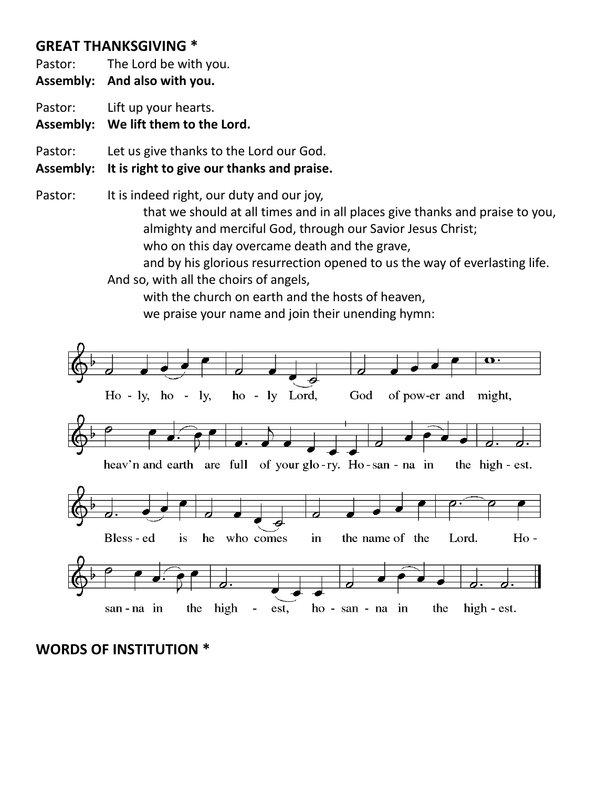## **GREAT THANKSGIVING \***

Pastor: The Lord be with you.

**Assembly: And also with you.**

Pastor: Lift up your hearts.

**Assembly: We lift them to the Lord.**

Pastor: Let us give thanks to the Lord our God.

### **Assembly: It is right to give our thanks and praise.**

Pastor: It is indeed right, our duty and our joy, that we should at all times and in all places give thanks and praise to you, almighty and merciful God, through our Savior Jesus Christ; who on this day overcame death and the grave, and by his glorious resurrection opened to us the way of everlasting life.

And so, with all the choirs of angels,

with the church on earth and the hosts of heaven, we praise your name and join their unending hymn:



**WORDS OF INSTITUTION \***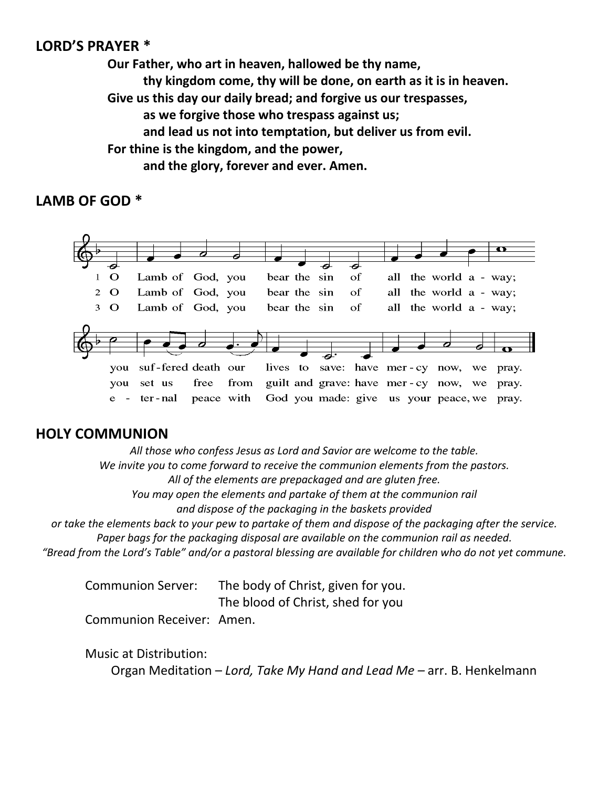### **LORD'S PRAYER \***

**Our Father, who art in heaven, hallowed be thy name, thy kingdom come, thy will be done, on earth as it is in heaven. Give us this day our daily bread; and forgive us our trespasses, as we forgive those who trespass against us; and lead us not into temptation, but deliver us from evil. For thine is the kingdom, and the power, and the glory, forever and ever. Amen.**

### **LAMB OF GOD \***



### **HOLY COMMUNION**

*All those who confess Jesus as Lord and Savior are welcome to the table. We invite you to come forward to receive the communion elements from the pastors. All of the elements are prepackaged and are gluten free. You may open the elements and partake of them at the communion rail and dispose of the packaging in the baskets provided or take the elements back to your pew to partake of them and dispose of the packaging after the service.*

*Paper bags for the packaging disposal are available on the communion rail as needed. "Bread from the Lord's Table" and/or a pastoral blessing are available for children who do not yet commune.* 

Communion Server: The body of Christ, given for you.

The blood of Christ, shed for you

Communion Receiver: Amen.

Music at Distribution:

Organ Meditation – *Lord, Take My Hand and Lead Me –* arr. B. Henkelmann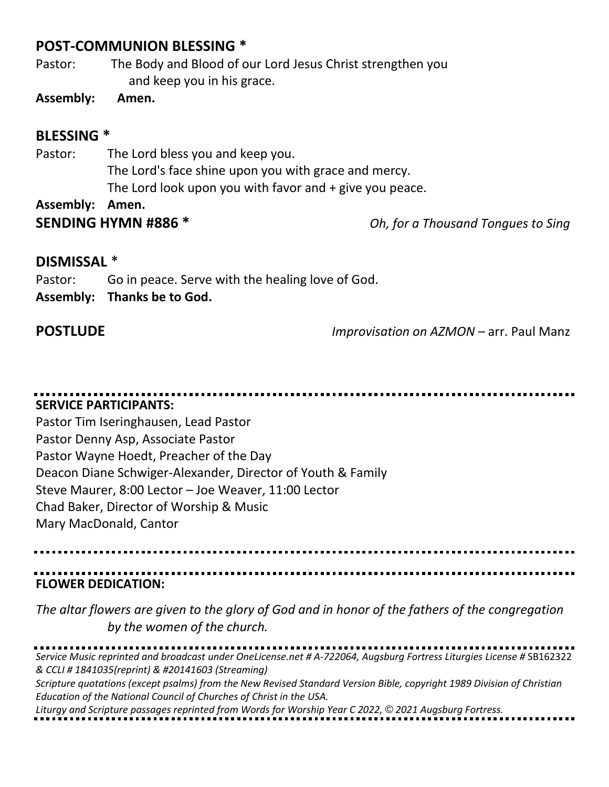### **POST-COMMUNION BLESSING \***

Pastor: The Body and Blood of our Lord Jesus Christ strengthen you and keep you in his grace.

**Assembly: Amen.**

### **BLESSING \***

Pastor: The Lord bless you and keep you. The Lord's face shine upon you with grace and mercy. The Lord look upon you with favor and + give you peace. **Assembly: Amen.**

**SENDING HYMN #886 \*** *Oh, for a Thousand Tongues to Sing*

### **DISMISSAL** \*

Pastor: Go in peace. Serve with the healing love of God. **Assembly: Thanks be to God.**

**POSTLUDE** *Improvisation on AZMON –* arr. Paul Manz

# **SERVICE PARTICIPANTS:**

Pastor Tim Iseringhausen, Lead Pastor Pastor Denny Asp, Associate Pastor Pastor Wayne Hoedt, Preacher of the Day Deacon Diane Schwiger-Alexander, Director of Youth & Family Steve Maurer, 8:00 Lector – Joe Weaver, 11:00 Lector Chad Baker, Director of Worship & Music Mary MacDonald, Cantor

**FLOWER DEDICATION:**

*The altar flowers are given to the glory of God and in honor of the fathers of the congregation by the women of the church.*

*Service Music reprinted and broadcast under OneLicense.net # A-722064, Augsburg Fortress Liturgies License #* SB162322 *& CCLI # 1841035(reprint) & #20141603 (Streaming) Scripture quotations (except psalms) from the New Revised Standard Version Bible, copyright 1989 Division of Christian Education of the National Council of Churches of Christ in the USA.* 

*Liturgy and Scripture passages reprinted from Words for Worship Year C 2022, © 2021 Augsburg Fortress.*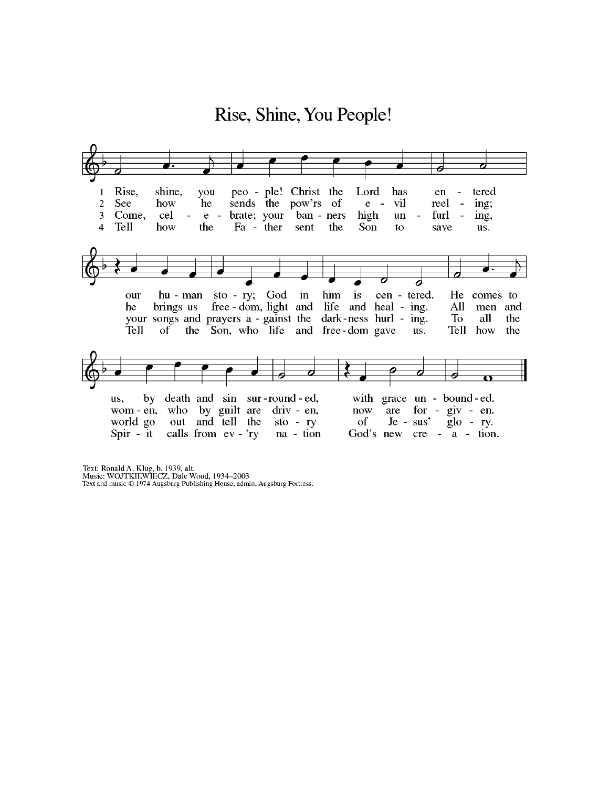

Text: Ronald A. Klug, b. 1939, alt.<br>Music: WOJTKIEWIECZ, Dale Wood, 1934–2003<br>Text and music © 1974 Augsburg Publishing House, admin. Augsburg Fortress.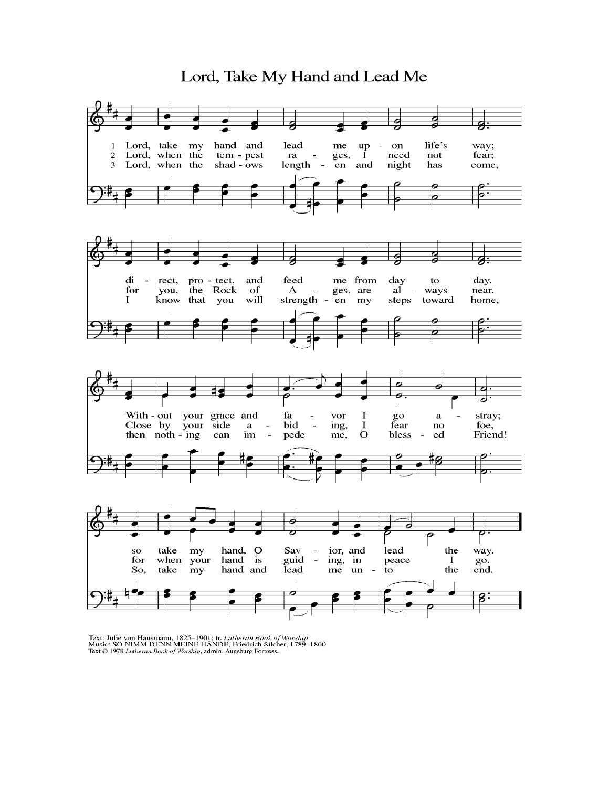### Lord, Take My Hand and Lead Me



Text: Julie von Hausmann, 1825–1901; tr. Lutheran Book of Worship<br>Music: SO NIMM DENN MEINE HÄNDE, Friedrich Silcher, 1789–1860<br>Text © 1978 Lutheran Book of Worship, admin. Augsburg Fortress.